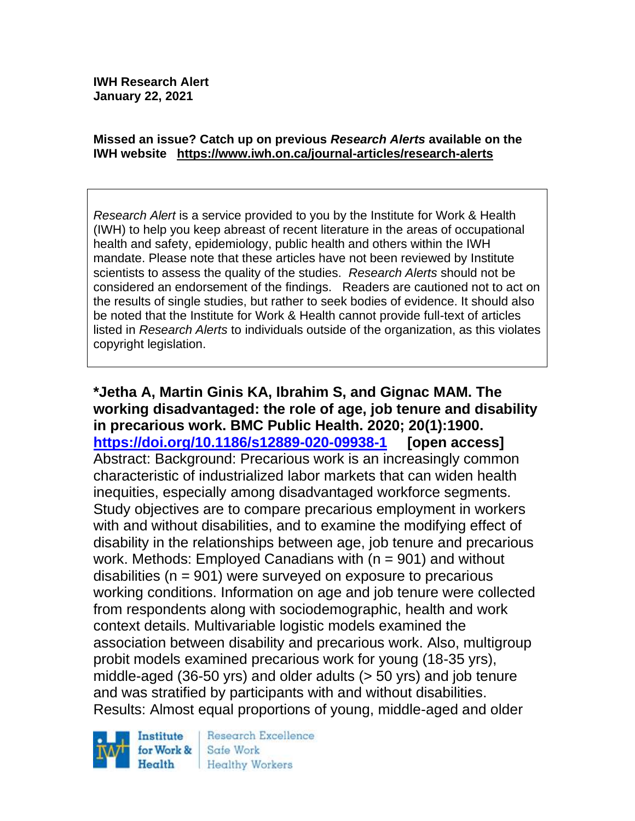#### **Missed an issue? Catch up on previous** *Research Alerts* **available on the [IWH website](http://www.iwh.on.ca/research-alerts) <https://www.iwh.on.ca/journal-articles/research-alerts>**

*Research Alert* is a service provided to you by the Institute for Work & Health (IWH) to help you keep abreast of recent literature in the areas of occupational health and safety, epidemiology, public health and others within the IWH mandate. Please note that these articles have not been reviewed by Institute scientists to assess the quality of the studies. *Research Alerts* should not be considered an endorsement of the findings. Readers are cautioned not to act on the results of single studies, but rather to seek bodies of evidence. It should also be noted that the Institute for Work & Health cannot provide full-text of articles listed in *Research Alerts* to individuals outside of the organization, as this violates copyright legislation.

**\*Jetha A, Martin Ginis KA, Ibrahim S, and Gignac MAM. The working disadvantaged: the role of age, job tenure and disability in precarious work. BMC Public Health. 2020; 20(1):1900. <https://doi.org/10.1186/s12889-020-09938-1> [open access]** Abstract: Background: Precarious work is an increasingly common characteristic of industrialized labor markets that can widen health inequities, especially among disadvantaged workforce segments. Study objectives are to compare precarious employment in workers with and without disabilities, and to examine the modifying effect of disability in the relationships between age, job tenure and precarious work. Methods: Employed Canadians with (n = 901) and without disabilities ( $n = 901$ ) were surveyed on exposure to precarious working conditions. Information on age and job tenure were collected from respondents along with sociodemographic, health and work context details. Multivariable logistic models examined the association between disability and precarious work. Also, multigroup probit models examined precarious work for young (18-35 yrs), middle-aged (36-50 yrs) and older adults (> 50 yrs) and job tenure and was stratified by participants with and without disabilities. Results: Almost equal proportions of young, middle-aged and older



Research Excellence Safe Work Healthy Workers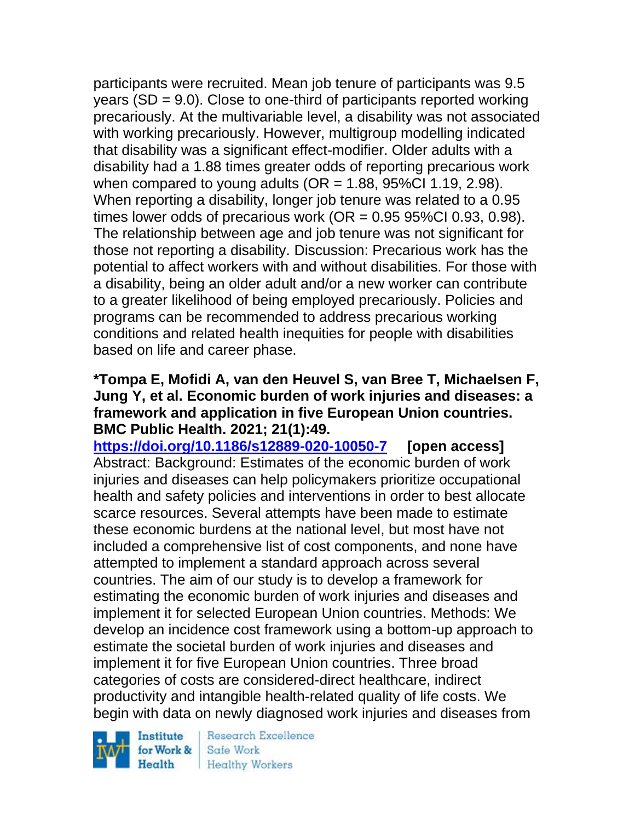participants were recruited. Mean job tenure of participants was 9.5 years (SD = 9.0). Close to one-third of participants reported working precariously. At the multivariable level, a disability was not associated with working precariously. However, multigroup modelling indicated that disability was a significant effect-modifier. Older adults with a disability had a 1.88 times greater odds of reporting precarious work when compared to young adults ( $OR = 1.88$ , 95%CI 1.19, 2.98). When reporting a disability, longer job tenure was related to a 0.95 times lower odds of precarious work (OR  $= 0.95$  95%Cl 0.93, 0.98). The relationship between age and job tenure was not significant for those not reporting a disability. Discussion: Precarious work has the potential to affect workers with and without disabilities. For those with a disability, being an older adult and/or a new worker can contribute to a greater likelihood of being employed precariously. Policies and programs can be recommended to address precarious working conditions and related health inequities for people with disabilities based on life and career phase.

### **\*Tompa E, Mofidi A, van den Heuvel S, van Bree T, Michaelsen F, Jung Y, et al. Economic burden of work injuries and diseases: a framework and application in five European Union countries. BMC Public Health. 2021; 21(1):49.**

**<https://doi.org/10.1186/s12889-020-10050-7> [open access]** Abstract: Background: Estimates of the economic burden of work injuries and diseases can help policymakers prioritize occupational health and safety policies and interventions in order to best allocate scarce resources. Several attempts have been made to estimate these economic burdens at the national level, but most have not included a comprehensive list of cost components, and none have attempted to implement a standard approach across several countries. The aim of our study is to develop a framework for estimating the economic burden of work injuries and diseases and implement it for selected European Union countries. Methods: We develop an incidence cost framework using a bottom-up approach to estimate the societal burden of work injuries and diseases and implement it for five European Union countries. Three broad categories of costs are considered-direct healthcare, indirect productivity and intangible health-related quality of life costs. We begin with data on newly diagnosed work injuries and diseases from

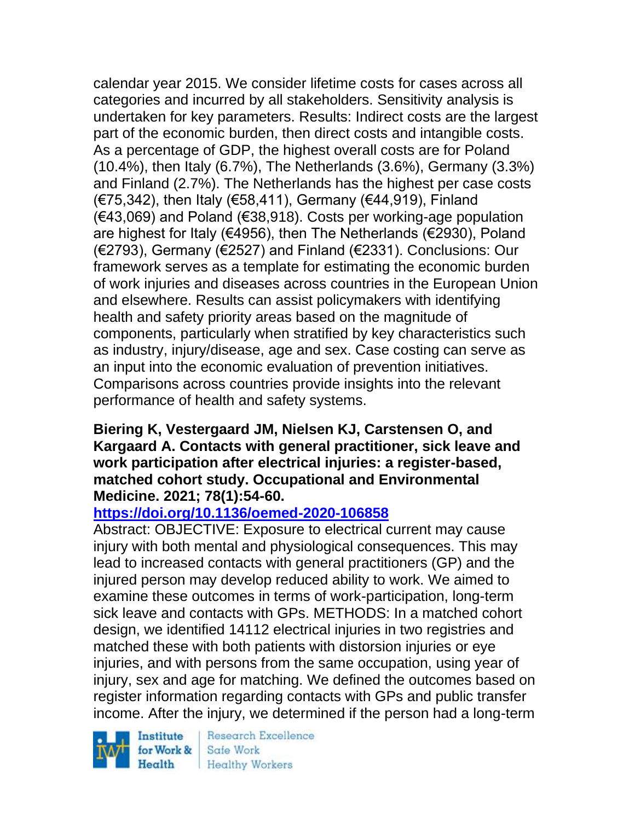calendar year 2015. We consider lifetime costs for cases across all categories and incurred by all stakeholders. Sensitivity analysis is undertaken for key parameters. Results: Indirect costs are the largest part of the economic burden, then direct costs and intangible costs. As a percentage of GDP, the highest overall costs are for Poland (10.4%), then Italy (6.7%), The Netherlands (3.6%), Germany (3.3%) and Finland (2.7%). The Netherlands has the highest per case costs (€75,342), then Italy (€58,411), Germany (€44,919), Finland (€43,069) and Poland (€38,918). Costs per working-age population are highest for Italy (€4956), then The Netherlands (€2930), Poland (€2793), Germany (€2527) and Finland (€2331). Conclusions: Our framework serves as a template for estimating the economic burden of work injuries and diseases across countries in the European Union and elsewhere. Results can assist policymakers with identifying health and safety priority areas based on the magnitude of components, particularly when stratified by key characteristics such as industry, injury/disease, age and sex. Case costing can serve as an input into the economic evaluation of prevention initiatives. Comparisons across countries provide insights into the relevant performance of health and safety systems.

### **Biering K, Vestergaard JM, Nielsen KJ, Carstensen O, and Kargaard A. Contacts with general practitioner, sick leave and work participation after electrical injuries: a register-based, matched cohort study. Occupational and Environmental Medicine. 2021; 78(1):54-60.**

## **<https://doi.org/10.1136/oemed-2020-106858>**

Abstract: OBJECTIVE: Exposure to electrical current may cause injury with both mental and physiological consequences. This may lead to increased contacts with general practitioners (GP) and the injured person may develop reduced ability to work. We aimed to examine these outcomes in terms of work-participation, long-term sick leave and contacts with GPs. METHODS: In a matched cohort design, we identified 14112 electrical injuries in two registries and matched these with both patients with distorsion injuries or eye injuries, and with persons from the same occupation, using year of injury, sex and age for matching. We defined the outcomes based on register information regarding contacts with GPs and public transfer income. After the injury, we determined if the person had a long-term

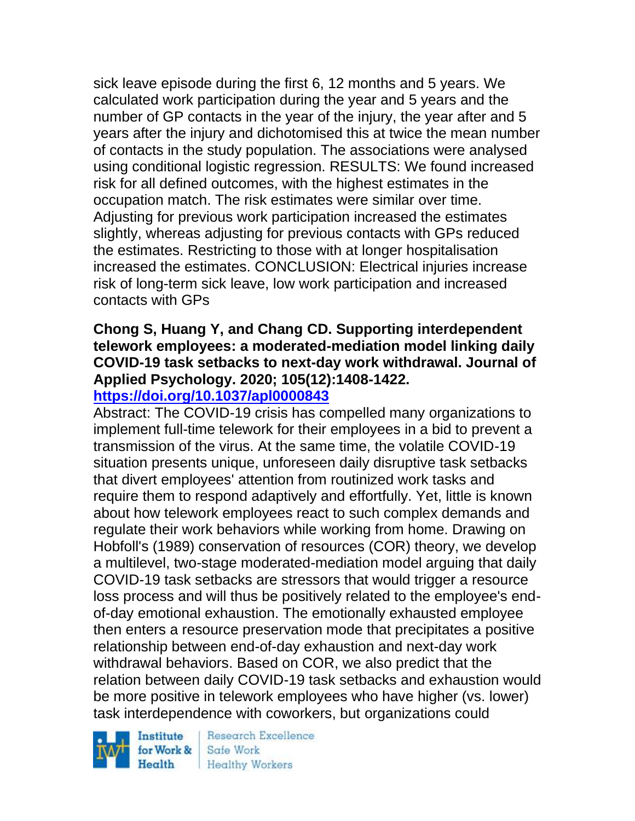sick leave episode during the first 6, 12 months and 5 years. We calculated work participation during the year and 5 years and the number of GP contacts in the year of the injury, the year after and 5 years after the injury and dichotomised this at twice the mean number of contacts in the study population. The associations were analysed using conditional logistic regression. RESULTS: We found increased risk for all defined outcomes, with the highest estimates in the occupation match. The risk estimates were similar over time. Adjusting for previous work participation increased the estimates slightly, whereas adjusting for previous contacts with GPs reduced the estimates. Restricting to those with at longer hospitalisation increased the estimates. CONCLUSION: Electrical injuries increase risk of long-term sick leave, low work participation and increased contacts with GPs

# **Chong S, Huang Y, and Chang CD. Supporting interdependent telework employees: a moderated-mediation model linking daily COVID-19 task setbacks to next-day work withdrawal. Journal of Applied Psychology. 2020; 105(12):1408-1422.**

### **<https://doi.org/10.1037/apl0000843>**

Abstract: The COVID-19 crisis has compelled many organizations to implement full-time telework for their employees in a bid to prevent a transmission of the virus. At the same time, the volatile COVID-19 situation presents unique, unforeseen daily disruptive task setbacks that divert employees' attention from routinized work tasks and require them to respond adaptively and effortfully. Yet, little is known about how telework employees react to such complex demands and regulate their work behaviors while working from home. Drawing on Hobfoll's (1989) conservation of resources (COR) theory, we develop a multilevel, two-stage moderated-mediation model arguing that daily COVID-19 task setbacks are stressors that would trigger a resource loss process and will thus be positively related to the employee's endof-day emotional exhaustion. The emotionally exhausted employee then enters a resource preservation mode that precipitates a positive relationship between end-of-day exhaustion and next-day work withdrawal behaviors. Based on COR, we also predict that the relation between daily COVID-19 task setbacks and exhaustion would be more positive in telework employees who have higher (vs. lower) task interdependence with coworkers, but organizations could

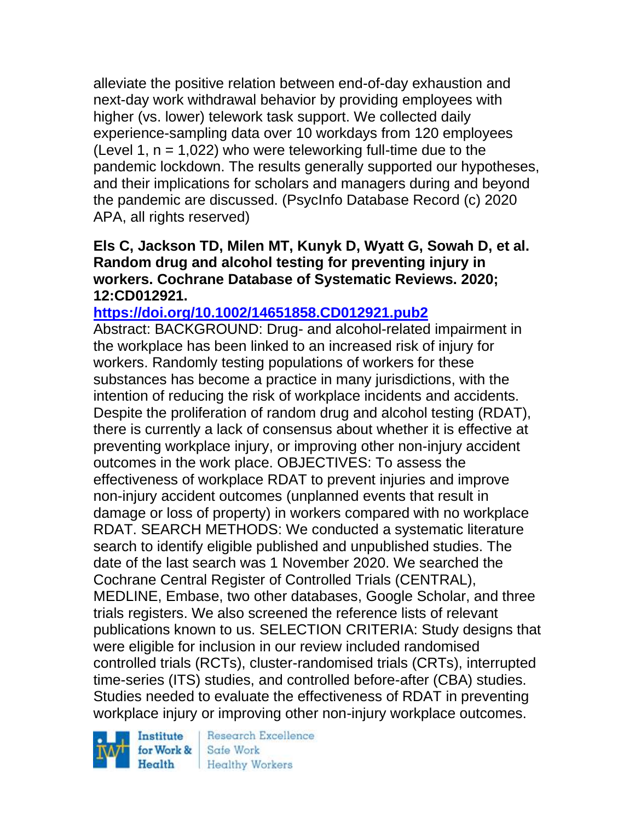alleviate the positive relation between end-of-day exhaustion and next-day work withdrawal behavior by providing employees with higher (vs. lower) telework task support. We collected daily experience-sampling data over 10 workdays from 120 employees (Level 1,  $n = 1.022$ ) who were teleworking full-time due to the pandemic lockdown. The results generally supported our hypotheses, and their implications for scholars and managers during and beyond the pandemic are discussed. (PsycInfo Database Record (c) 2020 APA, all rights reserved)

### **Els C, Jackson TD, Milen MT, Kunyk D, Wyatt G, Sowah D, et al. Random drug and alcohol testing for preventing injury in workers. Cochrane Database of Systematic Reviews. 2020; 12:CD012921.**

### **<https://doi.org/10.1002/14651858.CD012921.pub2>**

Abstract: BACKGROUND: Drug- and alcohol-related impairment in the workplace has been linked to an increased risk of injury for workers. Randomly testing populations of workers for these substances has become a practice in many jurisdictions, with the intention of reducing the risk of workplace incidents and accidents. Despite the proliferation of random drug and alcohol testing (RDAT), there is currently a lack of consensus about whether it is effective at preventing workplace injury, or improving other non-injury accident outcomes in the work place. OBJECTIVES: To assess the effectiveness of workplace RDAT to prevent injuries and improve non-injury accident outcomes (unplanned events that result in damage or loss of property) in workers compared with no workplace RDAT. SEARCH METHODS: We conducted a systematic literature search to identify eligible published and unpublished studies. The date of the last search was 1 November 2020. We searched the Cochrane Central Register of Controlled Trials (CENTRAL), MEDLINE, Embase, two other databases, Google Scholar, and three trials registers. We also screened the reference lists of relevant publications known to us. SELECTION CRITERIA: Study designs that were eligible for inclusion in our review included randomised controlled trials (RCTs), cluster-randomised trials (CRTs), interrupted time-series (ITS) studies, and controlled before-after (CBA) studies. Studies needed to evaluate the effectiveness of RDAT in preventing workplace injury or improving other non-injury workplace outcomes.

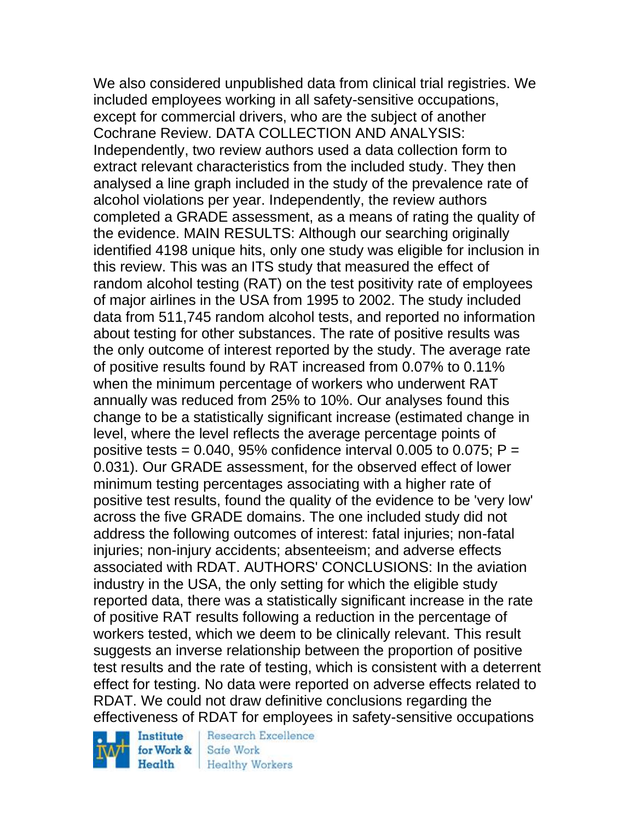We also considered unpublished data from clinical trial registries. We included employees working in all safety-sensitive occupations, except for commercial drivers, who are the subject of another Cochrane Review. DATA COLLECTION AND ANALYSIS: Independently, two review authors used a data collection form to extract relevant characteristics from the included study. They then analysed a line graph included in the study of the prevalence rate of alcohol violations per year. Independently, the review authors completed a GRADE assessment, as a means of rating the quality of the evidence. MAIN RESULTS: Although our searching originally identified 4198 unique hits, only one study was eligible for inclusion in this review. This was an ITS study that measured the effect of random alcohol testing (RAT) on the test positivity rate of employees of major airlines in the USA from 1995 to 2002. The study included data from 511,745 random alcohol tests, and reported no information about testing for other substances. The rate of positive results was the only outcome of interest reported by the study. The average rate of positive results found by RAT increased from 0.07% to 0.11% when the minimum percentage of workers who underwent RAT annually was reduced from 25% to 10%. Our analyses found this change to be a statistically significant increase (estimated change in level, where the level reflects the average percentage points of positive tests =  $0.040$ , 95% confidence interval 0.005 to 0.075; P = 0.031). Our GRADE assessment, for the observed effect of lower minimum testing percentages associating with a higher rate of positive test results, found the quality of the evidence to be 'very low' across the five GRADE domains. The one included study did not address the following outcomes of interest: fatal injuries; non-fatal injuries; non-injury accidents; absenteeism; and adverse effects associated with RDAT. AUTHORS' CONCLUSIONS: In the aviation industry in the USA, the only setting for which the eligible study reported data, there was a statistically significant increase in the rate of positive RAT results following a reduction in the percentage of workers tested, which we deem to be clinically relevant. This result suggests an inverse relationship between the proportion of positive test results and the rate of testing, which is consistent with a deterrent effect for testing. No data were reported on adverse effects related to RDAT. We could not draw definitive conclusions regarding the effectiveness of RDAT for employees in safety-sensitive occupations

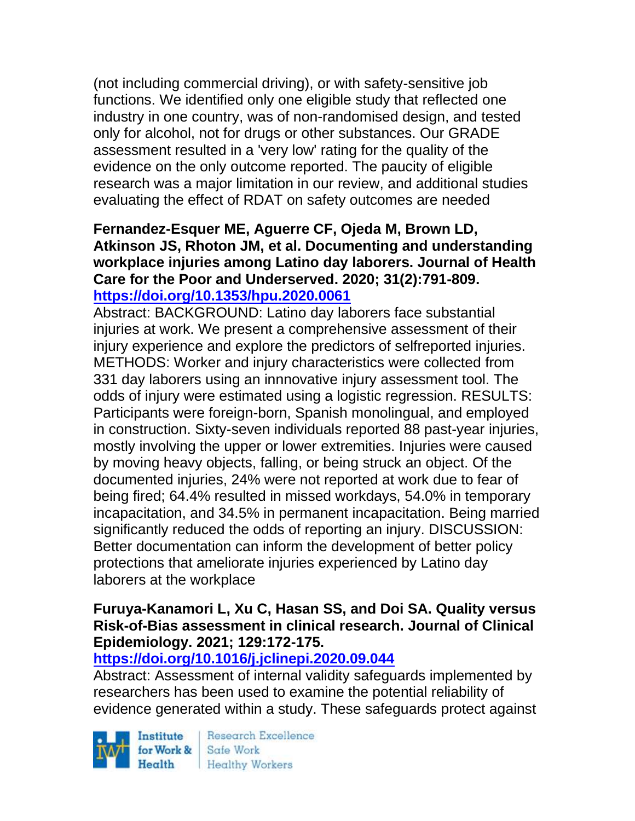(not including commercial driving), or with safety-sensitive job functions. We identified only one eligible study that reflected one industry in one country, was of non-randomised design, and tested only for alcohol, not for drugs or other substances. Our GRADE assessment resulted in a 'very low' rating for the quality of the evidence on the only outcome reported. The paucity of eligible research was a major limitation in our review, and additional studies evaluating the effect of RDAT on safety outcomes are needed

### **Fernandez-Esquer ME, Aguerre CF, Ojeda M, Brown LD, Atkinson JS, Rhoton JM, et al. Documenting and understanding workplace injuries among Latino day laborers. Journal of Health Care for the Poor and Underserved. 2020; 31(2):791-809. <https://doi.org/10.1353/hpu.2020.0061>**

Abstract: BACKGROUND: Latino day laborers face substantial injuries at work. We present a comprehensive assessment of their injury experience and explore the predictors of selfreported injuries. METHODS: Worker and injury characteristics were collected from 331 day laborers using an innnovative injury assessment tool. The odds of injury were estimated using a logistic regression. RESULTS: Participants were foreign-born, Spanish monolingual, and employed in construction. Sixty-seven individuals reported 88 past-year injuries, mostly involving the upper or lower extremities. Injuries were caused by moving heavy objects, falling, or being struck an object. Of the documented injuries, 24% were not reported at work due to fear of being fired; 64.4% resulted in missed workdays, 54.0% in temporary incapacitation, and 34.5% in permanent incapacitation. Being married significantly reduced the odds of reporting an injury. DISCUSSION: Better documentation can inform the development of better policy protections that ameliorate injuries experienced by Latino day laborers at the workplace

### **Furuya-Kanamori L, Xu C, Hasan SS, and Doi SA. Quality versus Risk-of-Bias assessment in clinical research. Journal of Clinical Epidemiology. 2021; 129:172-175.**

# **<https://doi.org/10.1016/j.jclinepi.2020.09.044>**

Abstract: Assessment of internal validity safeguards implemented by researchers has been used to examine the potential reliability of evidence generated within a study. These safeguards protect against

Institute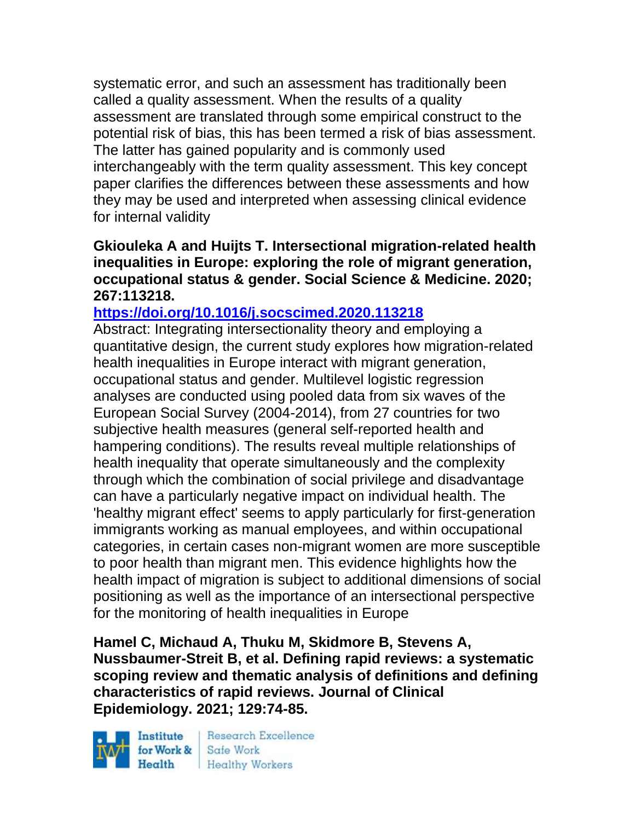systematic error, and such an assessment has traditionally been called a quality assessment. When the results of a quality assessment are translated through some empirical construct to the potential risk of bias, this has been termed a risk of bias assessment. The latter has gained popularity and is commonly used interchangeably with the term quality assessment. This key concept paper clarifies the differences between these assessments and how they may be used and interpreted when assessing clinical evidence for internal validity

### **Gkiouleka A and Huijts T. Intersectional migration-related health inequalities in Europe: exploring the role of migrant generation, occupational status & gender. Social Science & Medicine. 2020; 267:113218.**

### **<https://doi.org/10.1016/j.socscimed.2020.113218>**

Abstract: Integrating intersectionality theory and employing a quantitative design, the current study explores how migration-related health inequalities in Europe interact with migrant generation, occupational status and gender. Multilevel logistic regression analyses are conducted using pooled data from six waves of the European Social Survey (2004-2014), from 27 countries for two subjective health measures (general self-reported health and hampering conditions). The results reveal multiple relationships of health inequality that operate simultaneously and the complexity through which the combination of social privilege and disadvantage can have a particularly negative impact on individual health. The 'healthy migrant effect' seems to apply particularly for first-generation immigrants working as manual employees, and within occupational categories, in certain cases non-migrant women are more susceptible to poor health than migrant men. This evidence highlights how the health impact of migration is subject to additional dimensions of social positioning as well as the importance of an intersectional perspective for the monitoring of health inequalities in Europe

**Hamel C, Michaud A, Thuku M, Skidmore B, Stevens A, Nussbaumer-Streit B, et al. Defining rapid reviews: a systematic scoping review and thematic analysis of definitions and defining characteristics of rapid reviews. Journal of Clinical Epidemiology. 2021; 129:74-85.** 

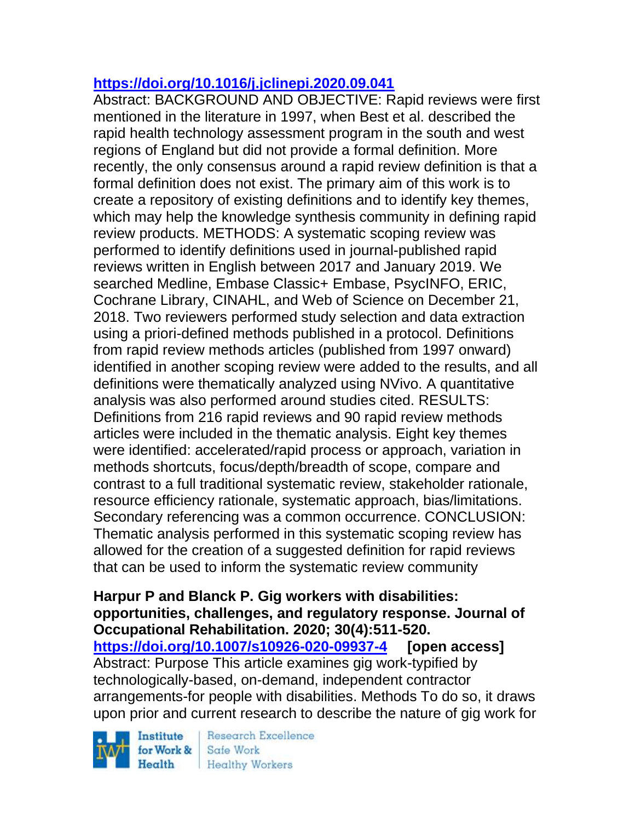# **<https://doi.org/10.1016/j.jclinepi.2020.09.041>**

Abstract: BACKGROUND AND OBJECTIVE: Rapid reviews were first mentioned in the literature in 1997, when Best et al. described the rapid health technology assessment program in the south and west regions of England but did not provide a formal definition. More recently, the only consensus around a rapid review definition is that a formal definition does not exist. The primary aim of this work is to create a repository of existing definitions and to identify key themes, which may help the knowledge synthesis community in defining rapid review products. METHODS: A systematic scoping review was performed to identify definitions used in journal-published rapid reviews written in English between 2017 and January 2019. We searched Medline, Embase Classic+ Embase, PsycINFO, ERIC, Cochrane Library, CINAHL, and Web of Science on December 21, 2018. Two reviewers performed study selection and data extraction using a priori-defined methods published in a protocol. Definitions from rapid review methods articles (published from 1997 onward) identified in another scoping review were added to the results, and all definitions were thematically analyzed using NVivo. A quantitative analysis was also performed around studies cited. RESULTS: Definitions from 216 rapid reviews and 90 rapid review methods articles were included in the thematic analysis. Eight key themes were identified: accelerated/rapid process or approach, variation in methods shortcuts, focus/depth/breadth of scope, compare and contrast to a full traditional systematic review, stakeholder rationale, resource efficiency rationale, systematic approach, bias/limitations. Secondary referencing was a common occurrence. CONCLUSION: Thematic analysis performed in this systematic scoping review has allowed for the creation of a suggested definition for rapid reviews that can be used to inform the systematic review community

**Harpur P and Blanck P. Gig workers with disabilities: opportunities, challenges, and regulatory response. Journal of Occupational Rehabilitation. 2020; 30(4):511-520. <https://doi.org/10.1007/s10926-020-09937-4> [open access]** Abstract: Purpose This article examines gig work-typified by technologically-based, on-demand, independent contractor arrangements-for people with disabilities. Methods To do so, it draws upon prior and current research to describe the nature of gig work for

Institute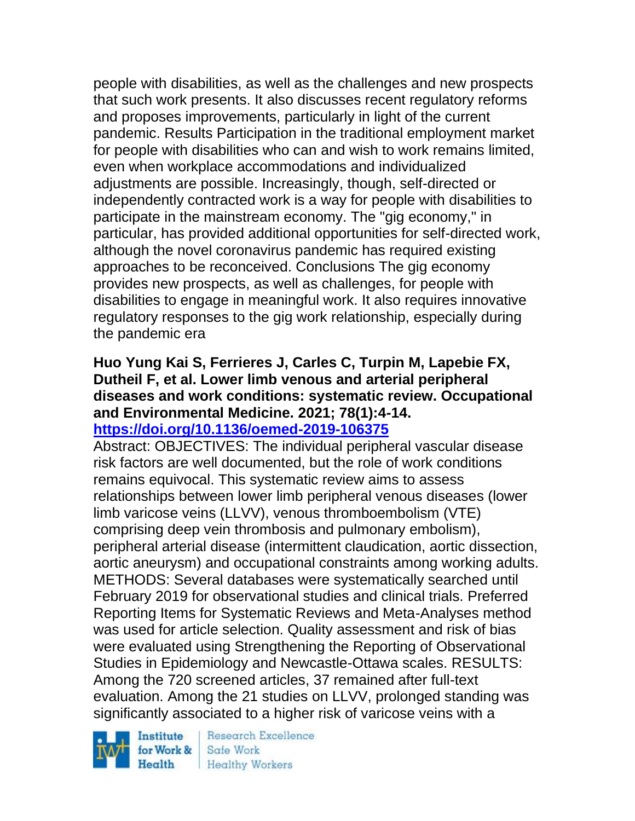people with disabilities, as well as the challenges and new prospects that such work presents. It also discusses recent regulatory reforms and proposes improvements, particularly in light of the current pandemic. Results Participation in the traditional employment market for people with disabilities who can and wish to work remains limited, even when workplace accommodations and individualized adjustments are possible. Increasingly, though, self-directed or independently contracted work is a way for people with disabilities to participate in the mainstream economy. The "gig economy," in particular, has provided additional opportunities for self-directed work, although the novel coronavirus pandemic has required existing approaches to be reconceived. Conclusions The gig economy provides new prospects, as well as challenges, for people with disabilities to engage in meaningful work. It also requires innovative regulatory responses to the gig work relationship, especially during the pandemic era

# **Huo Yung Kai S, Ferrieres J, Carles C, Turpin M, Lapebie FX, Dutheil F, et al. Lower limb venous and arterial peripheral diseases and work conditions: systematic review. Occupational and Environmental Medicine. 2021; 78(1):4-14.**

### **<https://doi.org/10.1136/oemed-2019-106375>**

Abstract: OBJECTIVES: The individual peripheral vascular disease risk factors are well documented, but the role of work conditions remains equivocal. This systematic review aims to assess relationships between lower limb peripheral venous diseases (lower limb varicose veins (LLVV), venous thromboembolism (VTE) comprising deep vein thrombosis and pulmonary embolism), peripheral arterial disease (intermittent claudication, aortic dissection, aortic aneurysm) and occupational constraints among working adults. METHODS: Several databases were systematically searched until February 2019 for observational studies and clinical trials. Preferred Reporting Items for Systematic Reviews and Meta-Analyses method was used for article selection. Quality assessment and risk of bias were evaluated using Strengthening the Reporting of Observational Studies in Epidemiology and Newcastle-Ottawa scales. RESULTS: Among the 720 screened articles, 37 remained after full-text evaluation. Among the 21 studies on LLVV, prolonged standing was significantly associated to a higher risk of varicose veins with a

Institute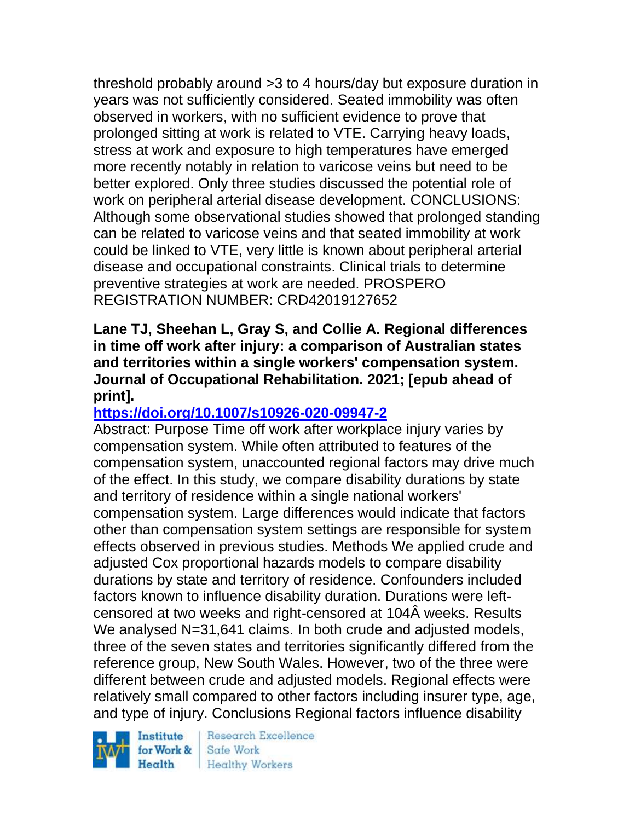threshold probably around >3 to 4 hours/day but exposure duration in years was not sufficiently considered. Seated immobility was often observed in workers, with no sufficient evidence to prove that prolonged sitting at work is related to VTE. Carrying heavy loads, stress at work and exposure to high temperatures have emerged more recently notably in relation to varicose veins but need to be better explored. Only three studies discussed the potential role of work on peripheral arterial disease development. CONCLUSIONS: Although some observational studies showed that prolonged standing can be related to varicose veins and that seated immobility at work could be linked to VTE, very little is known about peripheral arterial disease and occupational constraints. Clinical trials to determine preventive strategies at work are needed. PROSPERO REGISTRATION NUMBER: CRD42019127652

### **Lane TJ, Sheehan L, Gray S, and Collie A. Regional differences in time off work after injury: a comparison of Australian states and territories within a single workers' compensation system. Journal of Occupational Rehabilitation. 2021; [epub ahead of print].**

# **<https://doi.org/10.1007/s10926-020-09947-2>**

Abstract: Purpose Time off work after workplace injury varies by compensation system. While often attributed to features of the compensation system, unaccounted regional factors may drive much of the effect. In this study, we compare disability durations by state and territory of residence within a single national workers' compensation system. Large differences would indicate that factors other than compensation system settings are responsible for system effects observed in previous studies. Methods We applied crude and adjusted Cox proportional hazards models to compare disability durations by state and territory of residence. Confounders included factors known to influence disability duration. Durations were leftcensored at two weeks and right-censored at 104Â weeks. Results We analysed N=31,641 claims. In both crude and adjusted models, three of the seven states and territories significantly differed from the reference group, New South Wales. However, two of the three were different between crude and adjusted models. Regional effects were relatively small compared to other factors including insurer type, age, and type of injury. Conclusions Regional factors influence disability

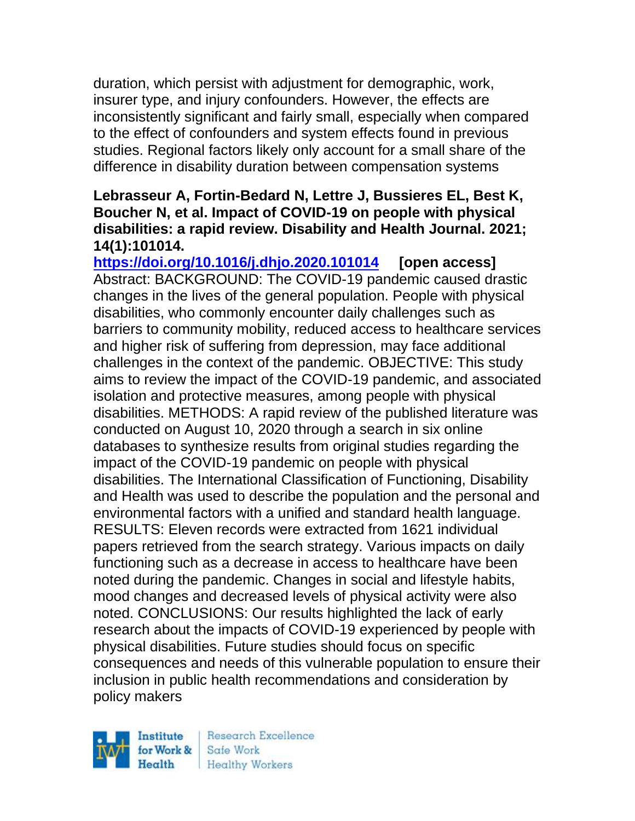duration, which persist with adjustment for demographic, work, insurer type, and injury confounders. However, the effects are inconsistently significant and fairly small, especially when compared to the effect of confounders and system effects found in previous studies. Regional factors likely only account for a small share of the difference in disability duration between compensation systems

### **Lebrasseur A, Fortin-Bedard N, Lettre J, Bussieres EL, Best K, Boucher N, et al. Impact of COVID-19 on people with physical disabilities: a rapid review. Disability and Health Journal. 2021; 14(1):101014.**

**<https://doi.org/10.1016/j.dhjo.2020.101014> [open access]** Abstract: BACKGROUND: The COVID-19 pandemic caused drastic changes in the lives of the general population. People with physical disabilities, who commonly encounter daily challenges such as barriers to community mobility, reduced access to healthcare services and higher risk of suffering from depression, may face additional challenges in the context of the pandemic. OBJECTIVE: This study aims to review the impact of the COVID-19 pandemic, and associated isolation and protective measures, among people with physical disabilities. METHODS: A rapid review of the published literature was conducted on August 10, 2020 through a search in six online databases to synthesize results from original studies regarding the impact of the COVID-19 pandemic on people with physical disabilities. The International Classification of Functioning, Disability and Health was used to describe the population and the personal and environmental factors with a unified and standard health language. RESULTS: Eleven records were extracted from 1621 individual papers retrieved from the search strategy. Various impacts on daily functioning such as a decrease in access to healthcare have been noted during the pandemic. Changes in social and lifestyle habits, mood changes and decreased levels of physical activity were also noted. CONCLUSIONS: Our results highlighted the lack of early research about the impacts of COVID-19 experienced by people with physical disabilities. Future studies should focus on specific consequences and needs of this vulnerable population to ensure their inclusion in public health recommendations and consideration by policy makers

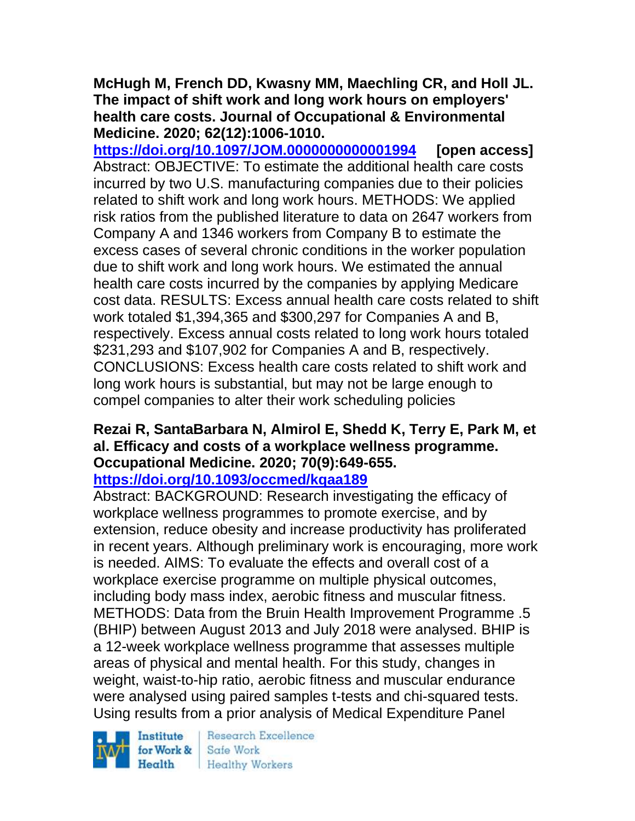### **McHugh M, French DD, Kwasny MM, Maechling CR, and Holl JL. The impact of shift work and long work hours on employers' health care costs. Journal of Occupational & Environmental Medicine. 2020; 62(12):1006-1010.**

**<https://doi.org/10.1097/JOM.0000000000001994> [open access]** Abstract: OBJECTIVE: To estimate the additional health care costs incurred by two U.S. manufacturing companies due to their policies related to shift work and long work hours. METHODS: We applied risk ratios from the published literature to data on 2647 workers from Company A and 1346 workers from Company B to estimate the excess cases of several chronic conditions in the worker population due to shift work and long work hours. We estimated the annual health care costs incurred by the companies by applying Medicare cost data. RESULTS: Excess annual health care costs related to shift work totaled \$1,394,365 and \$300,297 for Companies A and B, respectively. Excess annual costs related to long work hours totaled \$231,293 and \$107,902 for Companies A and B, respectively. CONCLUSIONS: Excess health care costs related to shift work and long work hours is substantial, but may not be large enough to compel companies to alter their work scheduling policies

#### **Rezai R, SantaBarbara N, Almirol E, Shedd K, Terry E, Park M, et al. Efficacy and costs of a workplace wellness programme. Occupational Medicine. 2020; 70(9):649-655. <https://doi.org/10.1093/occmed/kqaa189>**

Abstract: BACKGROUND: Research investigating the efficacy of workplace wellness programmes to promote exercise, and by extension, reduce obesity and increase productivity has proliferated in recent years. Although preliminary work is encouraging, more work is needed. AIMS: To evaluate the effects and overall cost of a workplace exercise programme on multiple physical outcomes, including body mass index, aerobic fitness and muscular fitness. METHODS: Data from the Bruin Health Improvement Programme .5 (BHIP) between August 2013 and July 2018 were analysed. BHIP is a 12-week workplace wellness programme that assesses multiple areas of physical and mental health. For this study, changes in weight, waist-to-hip ratio, aerobic fitness and muscular endurance were analysed using paired samples t-tests and chi-squared tests. Using results from a prior analysis of Medical Expenditure Panel

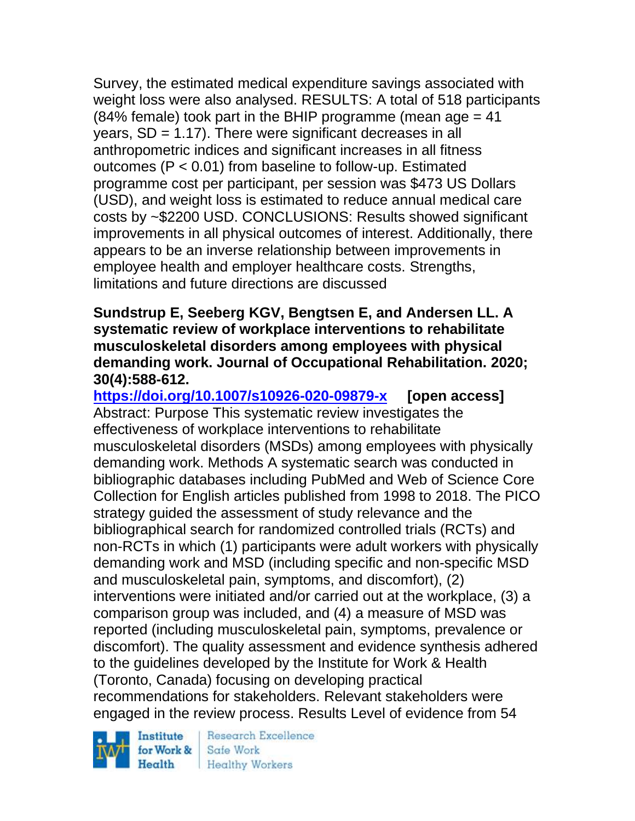Survey, the estimated medical expenditure savings associated with weight loss were also analysed. RESULTS: A total of 518 participants (84% female) took part in the BHIP programme (mean age  $= 41$ ) years,  $SD = 1.17$ ). There were significant decreases in all anthropometric indices and significant increases in all fitness outcomes (P < 0.01) from baseline to follow-up. Estimated programme cost per participant, per session was \$473 US Dollars (USD), and weight loss is estimated to reduce annual medical care costs by ~\$2200 USD. CONCLUSIONS: Results showed significant improvements in all physical outcomes of interest. Additionally, there appears to be an inverse relationship between improvements in employee health and employer healthcare costs. Strengths, limitations and future directions are discussed

### **Sundstrup E, Seeberg KGV, Bengtsen E, and Andersen LL. A systematic review of workplace interventions to rehabilitate musculoskeletal disorders among employees with physical demanding work. Journal of Occupational Rehabilitation. 2020; 30(4):588-612.**

**<https://doi.org/10.1007/s10926-020-09879-x> [open access]** Abstract: Purpose This systematic review investigates the effectiveness of workplace interventions to rehabilitate musculoskeletal disorders (MSDs) among employees with physically demanding work. Methods A systematic search was conducted in bibliographic databases including PubMed and Web of Science Core Collection for English articles published from 1998 to 2018. The PICO strategy guided the assessment of study relevance and the bibliographical search for randomized controlled trials (RCTs) and non-RCTs in which (1) participants were adult workers with physically demanding work and MSD (including specific and non-specific MSD and musculoskeletal pain, symptoms, and discomfort), (2) interventions were initiated and/or carried out at the workplace, (3) a comparison group was included, and (4) a measure of MSD was reported (including musculoskeletal pain, symptoms, prevalence or discomfort). The quality assessment and evidence synthesis adhered to the guidelines developed by the Institute for Work & Health (Toronto, Canada) focusing on developing practical recommendations for stakeholders. Relevant stakeholders were engaged in the review process. Results Level of evidence from 54

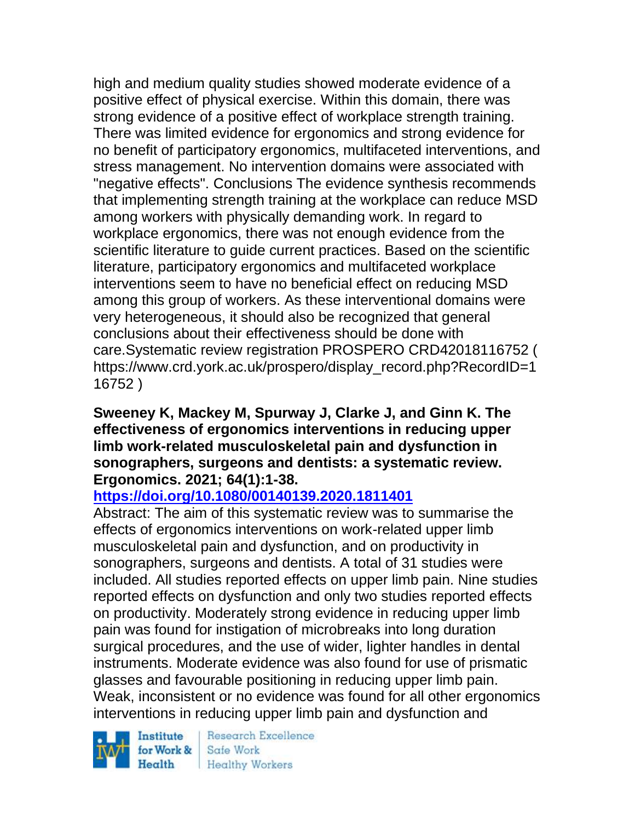high and medium quality studies showed moderate evidence of a positive effect of physical exercise. Within this domain, there was strong evidence of a positive effect of workplace strength training. There was limited evidence for ergonomics and strong evidence for no benefit of participatory ergonomics, multifaceted interventions, and stress management. No intervention domains were associated with "negative effects". Conclusions The evidence synthesis recommends that implementing strength training at the workplace can reduce MSD among workers with physically demanding work. In regard to workplace ergonomics, there was not enough evidence from the scientific literature to guide current practices. Based on the scientific literature, participatory ergonomics and multifaceted workplace interventions seem to have no beneficial effect on reducing MSD among this group of workers. As these interventional domains were very heterogeneous, it should also be recognized that general conclusions about their effectiveness should be done with care.Systematic review registration PROSPERO CRD42018116752 ( https://www.crd.york.ac.uk/prospero/display\_record.php?RecordID=1 16752 )

### **Sweeney K, Mackey M, Spurway J, Clarke J, and Ginn K. The effectiveness of ergonomics interventions in reducing upper limb work-related musculoskeletal pain and dysfunction in sonographers, surgeons and dentists: a systematic review. Ergonomics. 2021; 64(1):1-38.**

## **<https://doi.org/10.1080/00140139.2020.1811401>**

Abstract: The aim of this systematic review was to summarise the effects of ergonomics interventions on work-related upper limb musculoskeletal pain and dysfunction, and on productivity in sonographers, surgeons and dentists. A total of 31 studies were included. All studies reported effects on upper limb pain. Nine studies reported effects on dysfunction and only two studies reported effects on productivity. Moderately strong evidence in reducing upper limb pain was found for instigation of microbreaks into long duration surgical procedures, and the use of wider, lighter handles in dental instruments. Moderate evidence was also found for use of prismatic glasses and favourable positioning in reducing upper limb pain. Weak, inconsistent or no evidence was found for all other ergonomics interventions in reducing upper limb pain and dysfunction and

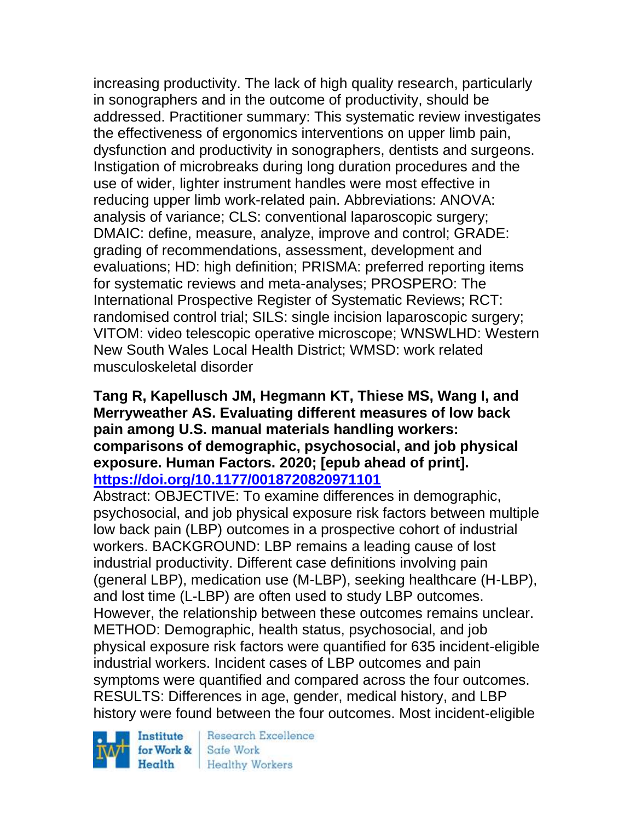increasing productivity. The lack of high quality research, particularly in sonographers and in the outcome of productivity, should be addressed. Practitioner summary: This systematic review investigates the effectiveness of ergonomics interventions on upper limb pain, dysfunction and productivity in sonographers, dentists and surgeons. Instigation of microbreaks during long duration procedures and the use of wider, lighter instrument handles were most effective in reducing upper limb work-related pain. Abbreviations: ANOVA: analysis of variance; CLS: conventional laparoscopic surgery; DMAIC: define, measure, analyze, improve and control; GRADE: grading of recommendations, assessment, development and evaluations; HD: high definition; PRISMA: preferred reporting items for systematic reviews and meta-analyses; PROSPERO: The International Prospective Register of Systematic Reviews; RCT: randomised control trial; SILS: single incision laparoscopic surgery; VITOM: video telescopic operative microscope; WNSWLHD: Western New South Wales Local Health District; WMSD: work related musculoskeletal disorder

### **Tang R, Kapellusch JM, Hegmann KT, Thiese MS, Wang I, and Merryweather AS. Evaluating different measures of low back pain among U.S. manual materials handling workers: comparisons of demographic, psychosocial, and job physical exposure. Human Factors. 2020; [epub ahead of print]. <https://doi.org/10.1177/0018720820971101>**

Abstract: OBJECTIVE: To examine differences in demographic, psychosocial, and job physical exposure risk factors between multiple low back pain (LBP) outcomes in a prospective cohort of industrial workers. BACKGROUND: LBP remains a leading cause of lost industrial productivity. Different case definitions involving pain (general LBP), medication use (M-LBP), seeking healthcare (H-LBP), and lost time (L-LBP) are often used to study LBP outcomes. However, the relationship between these outcomes remains unclear. METHOD: Demographic, health status, psychosocial, and job physical exposure risk factors were quantified for 635 incident-eligible industrial workers. Incident cases of LBP outcomes and pain symptoms were quantified and compared across the four outcomes. RESULTS: Differences in age, gender, medical history, and LBP history were found between the four outcomes. Most incident-eligible

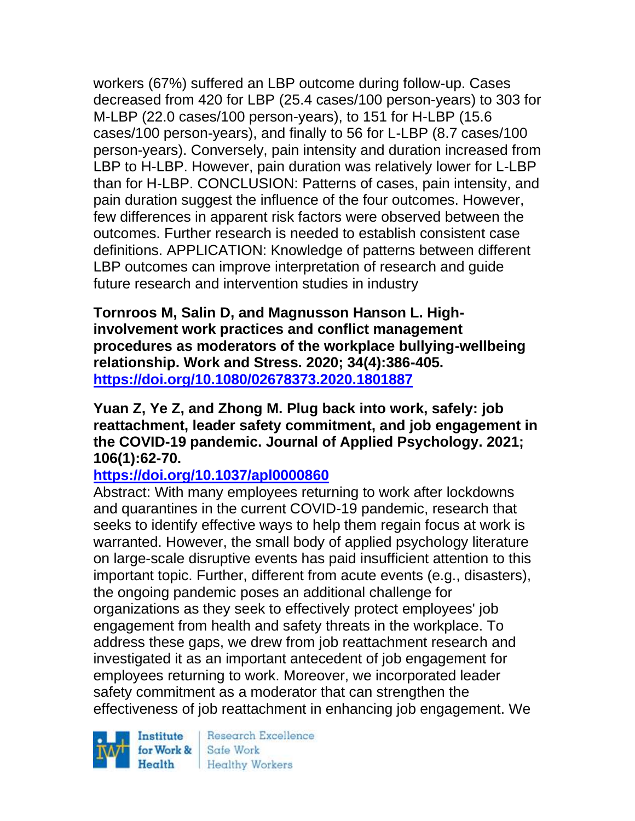workers (67%) suffered an LBP outcome during follow-up. Cases decreased from 420 for LBP (25.4 cases/100 person-years) to 303 for M-LBP (22.0 cases/100 person-years), to 151 for H-LBP (15.6 cases/100 person-years), and finally to 56 for L-LBP (8.7 cases/100 person-years). Conversely, pain intensity and duration increased from LBP to H-LBP. However, pain duration was relatively lower for L-LBP than for H-LBP. CONCLUSION: Patterns of cases, pain intensity, and pain duration suggest the influence of the four outcomes. However, few differences in apparent risk factors were observed between the outcomes. Further research is needed to establish consistent case definitions. APPLICATION: Knowledge of patterns between different LBP outcomes can improve interpretation of research and guide future research and intervention studies in industry

**Tornroos M, Salin D, and Magnusson Hanson L. Highinvolvement work practices and conflict management procedures as moderators of the workplace bullying-wellbeing relationship. Work and Stress. 2020; 34(4):386-405. <https://doi.org/10.1080/02678373.2020.1801887>** 

### **Yuan Z, Ye Z, and Zhong M. Plug back into work, safely: job reattachment, leader safety commitment, and job engagement in the COVID-19 pandemic. Journal of Applied Psychology. 2021; 106(1):62-70.**

## **<https://doi.org/10.1037/apl0000860>**

Abstract: With many employees returning to work after lockdowns and quarantines in the current COVID-19 pandemic, research that seeks to identify effective ways to help them regain focus at work is warranted. However, the small body of applied psychology literature on large-scale disruptive events has paid insufficient attention to this important topic. Further, different from acute events (e.g., disasters), the ongoing pandemic poses an additional challenge for organizations as they seek to effectively protect employees' job engagement from health and safety threats in the workplace. To address these gaps, we drew from job reattachment research and investigated it as an important antecedent of job engagement for employees returning to work. Moreover, we incorporated leader safety commitment as a moderator that can strengthen the effectiveness of job reattachment in enhancing job engagement. We